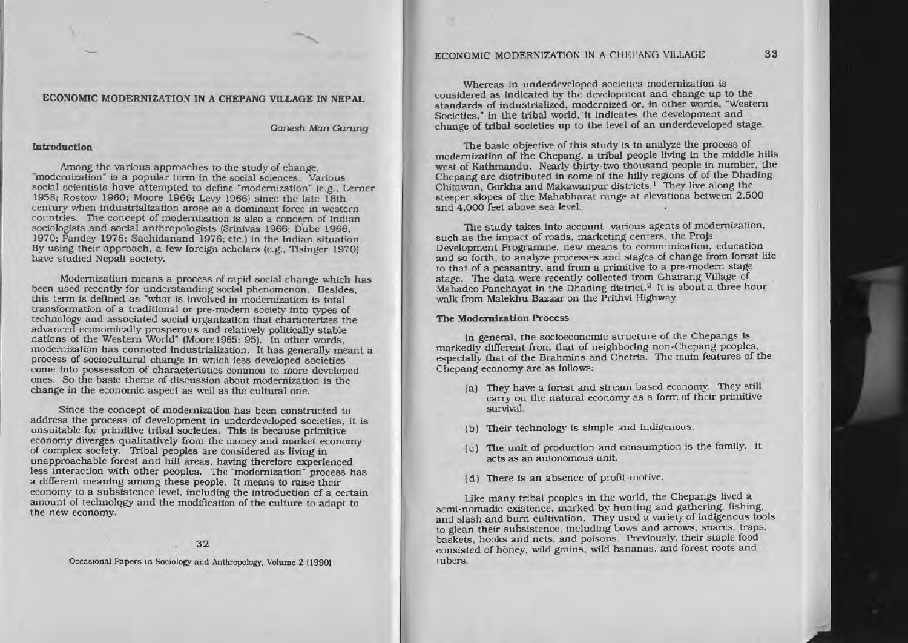# ECONOMIC MODERNIZATION IN A CHEPANG VILLAGE

Whereas in underdeveloped societies modernization is considered as indicated by the development and change up to the standards of industrialized, modernized or, in other words, "Western Societies," in the tribal world, it indicates the development and change of tribal societies up to the level of an underdeveloped stage.

The basic objective of this study is to analyze the process of modernization of the Chepang, a tribal people living in the middle hills west of Kathmandu. Nearly thirty-two thousand people in number, the Chepang are distributed in some of the hilly regions of of the Dhading, Chitawan, Gorkha and Makawanpur districts.<sup>1</sup> They live along the steeper slopes of the Mahabharat range at elevations between 2,500 and 4,000 feet above sea level.

The study takes into account various agents of modernization, such as the impact of roads, marketing centers, the Proja Development Programme, new means to communication, education and so forth, to analyze processes and stages of change from forest life to that of a peasantry, and from a primitive to a pre-modern stage stage. The data were recently collected from Ghairang Village of Mahadeo Panchayat in the Dhading district.<sup>2</sup> It is about a three hour walk from Malekhu Bazaar on the Prithvi Highway.

### **The Modernization Process**

In general, the socioeconomic structure of the Chepangs is markedly different from that of neighboring non-Chepang peoples, especially that of the Brahmins and Chetris. The main features of the Chepang economy are as follows:

- (a) They have a forest and stream based economy. They still carry on the natural economy as a form of their primitive survival.
- (b) Their technology is simple and indigenous.
- (c) The unit of production and consumption is the family. It acts as an autonomous unit.
- (d) There is an absence of profit-motive.

Like many tribal peoples in the world, the Chepangs lived a semi-nomadic existence, marked by hunting and gathering, fishing, and slash and burn cultivation. They used a variety of indigenous tools to glean their subsistence, including bows and arrows, snares, traps. baskets, hooks and nets, and poisons. Previously, their staple food consisted of honey, wild grains, wild bananas, and forest roots and tubers.

#### ECONOMIC MODERNIZATION IN A CHEPANG VILLAGE IN NEPAL

Ganesh Man Gunung

#### Introduction

Among the various approaches to the study of change. "modernization" is a popular term in the social sciences. Various social scientists have attempted to define "modernization" (e.g., Lerner 1958: Rostow 1960; Moore 1966; Levy 1966) since the late 18th century when industrialization arose as a dominant force in western countries. The concept of modernization is also a concern of Indian sociologists and social anthropologists (Srinivas 1966; Dube 1966, 1970; Pandey 1976; Sachidanand 1976; etc.) in the Indian situation. By using their approach, a few foreign scholars (e.g., Tisinger 1970) have studied Nepali society.

Modernization means a process of rapid social change which has been used recently for understanding social phenomenon. Besides, this term is defined as "what is involved in modernization is total transformation of a traditional or pre-modern society into types of technology and associated social organization that characterizes the advanced economically prosperous and relatively politically stable nations of the Western World" (Moore1965: 95). In other words, modernization has connoted industrialization. It has generally meant a process of sociocultural change in which less developed societies come into possession of characteristics common to more developed ones. So the basic theme of discussion about modernization is the change in the economic aspect as well as the cultural one.

Since the concept of modernization has been constructed to address the process of development in underdeveloped societies, it is unsuitable for primitive tribal societies. This is because primitive economy diverges qualitatively from the money and market economy of complex society. Tribal peoples are considered as living in unapproachable forest and hill areas, having therefore experienced less interaction with other peoples. The "modernization" process has a different meaning among these people. It means to raise their economy to a subsistence level, including the introduction of a certain amount of technology and the modification of the culture to adapt to the new economy.

Occasional Papers in Sociology and Anthropology, Volume 2 (1990)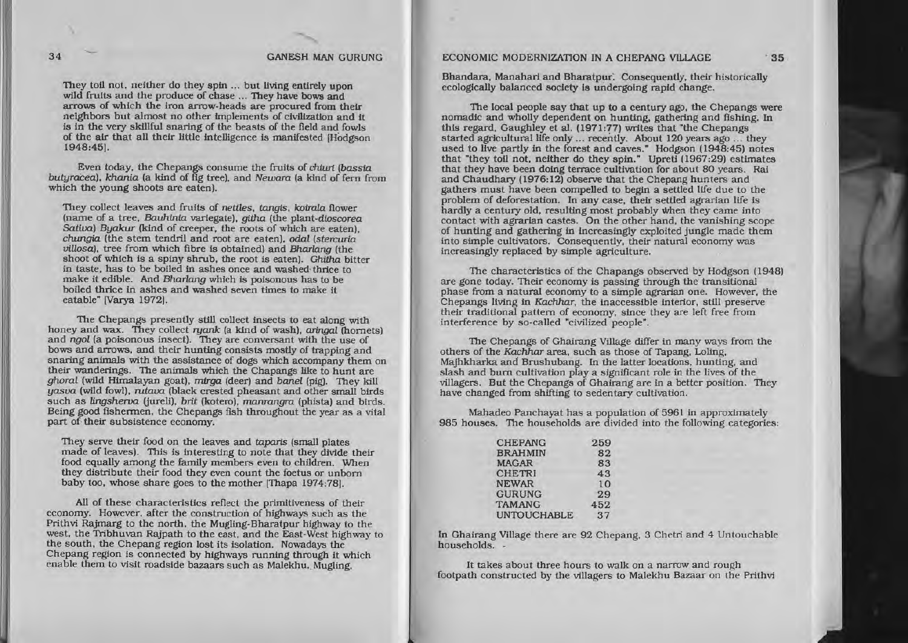## 34 GANESH MAN GURUNG ECONOMIC MODERNIZATION IN A CHEPANG VILLAGE . 35

They toil not, neither do they spin ... but living entirely upon wild fruits and the produce of chase ... They have bows and arrows of which the iron arrow-heads are procured from their neighbors but almost no other implements of civilization and it is in the very skillful snaring of the beasts of the field and fowls of the air that all their little intelligence is manifested (Hodgson 1948:45).

Even today, the Chepangs consume the fruits of chiuri (bassia butyracea). khania (a kind of fig tree), and Newara (a kind of fern from which the young shoots are eaten).

They collect leaves and fruits of nettles, tangls, koirala flower (name of a tree, Bauhinia variegate), githa (the plant-dioscorea Sativa) Byakur (kind of creeper, the roots of which are eaten). chungia (the stem tendril and root are eaten), *odal* (stercuria) villosa), tree from which fibre is obtained) and Bharlang (the shoot of which is a spiny shrub, the root is eaten). Ghitha bitter in taste, has to be boiled in ashes once and washed-thrice to make it edible. And Bharlang which is poisonous has to be boiled thrice in ashes and washed seven times to make it eatable" [Varya 1972].

The Chepangs presently still collect insects to eat along with honey and wax. They collect ruank (a kind of wash), aringal (hornets) and ngol (a poisonous insect). They are conversant with the use of bows and arrows. and their hunting consists mostly of trapping and snaring animals with the assistance of dogs which acoompany them on their wanderings. The animals which the Chapangs like to hunt are ghoral (wild Himalayan goat), mirga (deer) and banel (pig). They kill *yasua* (wild fowl). rutava (black crested pheasant and other- small birds such as lingsherva (jureli), brit (kotero), manrangra (phista) and birds. Being good fishermen, the Chepangs fish throughout the year as a vital part of their subsistence economy.

They serve their food on the leaves and taparis (small plates) made of leaves). This is interesting to note that they divide their food equally among the family members even to children. When they distribute their food they even count the foetus or unbom baby too. whose share goes to the mother [Thapa 1974:781.

All of these characteristics reflect the primitiveness of their economy. However, after the construction of highways such as the economy. However. after the construction of highways such as the Prithvi Rajmarg to the north. the Mugling.Bharatpur highway to the west. the Tribhuvan Rajpath to the east, and the East·West highway to the south, the Chepang region lost its Isolation. Nowadays the Chepang region is connected by highways running through it which enable them to visit roadside bazaars such as Malekhu. Mugling,

Bhandara. Manahari and Bharatpur. Consequently. their historically ecologically balanced society Is undergoing rapid change.

The local people say that up to <sup>a</sup> century ago. the Chepangs were nomadic and wholly dependent on hunting, gathering and fishing. In this regard, Gaughley et al. (1971:77) writes that "the Chepangs started agricultural life only ... recently. About 120 years ago ... they used to live partly in the forest and caves." Hodgson (1948:45) notes that "they toil not, neither do they spin." Upreti (1967:29) estimates that they have been doing terrace cultivation for about 80 years. Rai and Chaudhary (1976:12) observe that the Chepang hunters and gathers must have been compelled to begin <sup>a</sup> settled life due to the problem of deforestation. In any case, their settled agrarian life Is hardly a century old, resulting most probably when they came into contact with agrarian castes. On the other hand, the vanishing scope of hunting and gathering in increasingly exploited jungle made them into simple cultivators. Consequently, their natural economy was increasingly replaced by simple agriculture.

The characteristics of the Chapangs observed by Hodgson (1948) are gone today. Their economy is passing through the transitional phase from <sup>a</sup> natural economy to <sup>a</sup> simple agrarian one. However, the Chepangs living in Kachhar, the inaccessible interior, still preserve their traditional pattern of economy. since they are left free from Interference by so-called "civilized people".

The Chepangs of Ghalrang VIllage differ in many ways from the others of the Kachhar area, such as those of Tapang. Loling. Majhkharka and Brushubang. In the latter locations, hunting. and slash and bum cultivation playa significant role in the lives of the villagers. But the Chepangs of Ghairang are in a better position. They have changed from shifting to sedentary cultivation.

Mahadeo Panchayat has a population of 5961 in approximately 985 houses. The households are divided into the following categories:

| <b>CHEPANG</b>     | 259 |
|--------------------|-----|
| <b>BRAHMIN</b>     | 82  |
| <b>MAGAR</b>       | 83  |
| <b>CHETRI</b>      | 43  |
| <b>NEWAR</b>       | 10  |
| <b>GURUNG</b>      | 29  |
| <b>TAMANG</b>      | 452 |
| <b>UNTOUCHABLE</b> | 37  |

In Ghairang Village there are 92 Chepang. 3 Chetri and 4 Untouchable households. .

It takes about three hours to walk on a narrow and rough footpath constructed by the villagers to Malekhu Bazaar on Ihe Prithvi

I- ....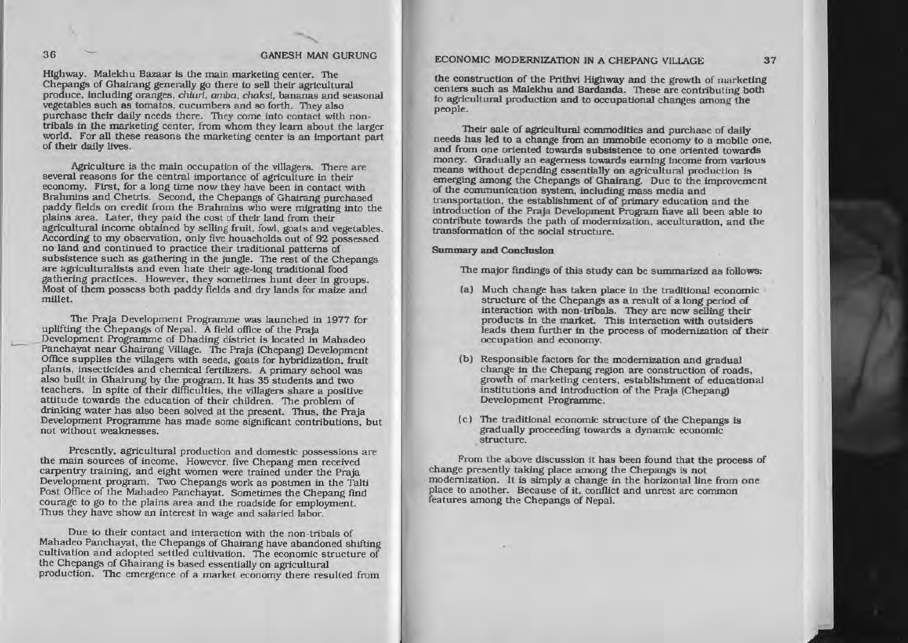Highway. Malekhu Bazaar is the main marketing center. The Chepangs of GhaIrang generally go there to sell their agricultural produce, including oranges, *chiuri*, *amba*, *chaksi*, bananas and seasonal vegetables such as tomatos. cucumbers and so forth. They also purchase their daily needs there. They come into contact with nontribals in the marketing center, from whom they learn about the larger world. For all these reasons the marketing center is an important part of their daily

Agriculture is the main occupation of the villagers. There are several reasons for the central importance of agriculture in their economy. First, for a long time now they have been in contact with Brahmins and Chetris. Second, the Chepangs of Ghairang purchased paddy fields on credit from the Brahmins who were migrating into the plains area. Later, they paid the cost of their land from their agricultural income obtained by selling fruit. fowl, goats and vegetables. According to my observation, only five households out of 92 possessed no land and continued to practice their traditional patterns of subsistence such as gathering in the jungle. The rest of the Chepangs are agriculturalists and even hate their age-long traditional food gathering practices. However, they sometimes hunt deer tn groups. Most of them possess both paddy fields and dry lands for matze and millet.

The Praja Development Programme was launched in 1977 for uplifting the Chepangs of Nepal. A field office of the Praja Development Programme of Dhading district is located in Mahadeo Panchayat near Ghairang Village. The Praja (Chepang) Development Office supplies the villagers with seeds, goats for hybridization, fruit plants, insecticides and chemical fertilizers. A primary school was also built in Ghairung by the program. It has 35 students and two teachers. In spite of their difficulties. the villagers share <sup>a</sup> positive attitude towards the education of their children. The problem of drinking water has also been solved at the present. Thus, the Praja Development Programme has made some significant contributions, but not without weaknesses.

Presently, agricultural production and domestic possessions are the main sources of income. However, five Chepang men received carpentry training, and eight women were trained under the Praja Development program. Two Chepangs work as postmen in the TaJti Post Office of the Mahadeo Panchayat. Sometimes the Chepang find courage to go to the plains area and the roadside for employment. Thus they have show an interest in wage and salaried labor.

Due to their contact and interaction with the non-tribals of Mahadeo Panchayat, the Chepangs of Ghairang have abandoned shifting cultivation and adopted settled cultivation. The economic structure of the Chepangs of Ghairang is based essentially on agricultural the Chepangs of Ghairang is based essentially on agricultural production. The emergence of <sup>a</sup> market economy there resulted from

# 36 GANESH MAN GURUNG ECONOMIC MODERNIZATION IN A CHEPANG VILLAGE 37

the construction of the Prtthvt Highway and the growth of marketing centers such as Malekhu and Bardanda. These are contributing both to agricultural production and to occupational changes among the people.

Their sale of agricultural commodities and purchase of daily needs has led to a change from an immobile economy to a mobile one. and from one oriented towards subsistence to one oriented towards money. Gradually an eagerness towards earning Income from various means without depending essentially on agricultural production is emerging among the Chepangs of Ghairang. Due to the improvement of the communication system. includtng mass media and transportation, the establishment of of primary education and the introduction of the Praja Development Program liave all been able to contribute towards the path of modernization, acculturation, and the transfonnation of the social structure.

#### Summary and Conclusion

The major findings of this study can be summarized as follows:

- (a) Much change has taken place in the traditional economic structure of the Chepangs as a result of a long period of interaction with non-tribals. They are now selling their products in the market. This interaction with outsiders leads them further in the process of modernization of their occupation and economy.
- (b) Responsible factors for the modernization and gradual change in the Chepang region are construction of roads. growth of marketing centers, establishment of educational institutions and introduction of the Praja (Chepang) Development Programme.
- (c) The traditional economic structure of the Chepangs is gradually proceeding towards <sup>a</sup> dynamic economic structure.

From the above discussion it has been found that the process of change presently taking place among the Chepangs is not modernization. It is simply a change in the horizontal line from one place to another. Because of it, conflict and unrest are common features among the Chepangs of Nepal.